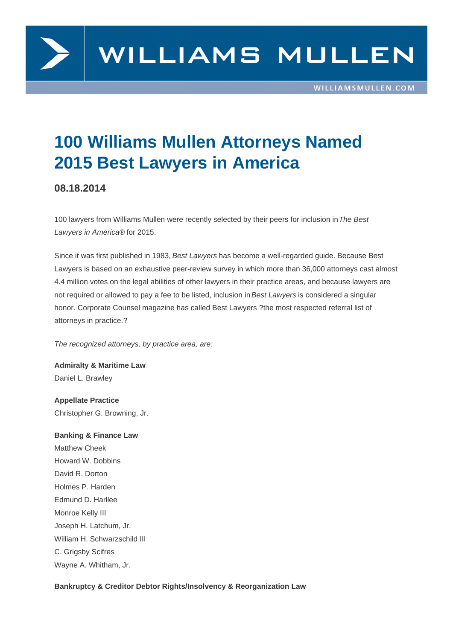

# **100 Williams Mullen Attorneys Named 2015 Best Lawyers in America**

# **08.18.2014**

100 lawyers from Williams Mullen were recently selected by their peers for inclusion in The Best Lawyers in America® for 2015.

Since it was first published in 1983, Best Lawyers has become a well-regarded guide. Because Best Lawyers is based on an exhaustive peer-review survey in which more than 36,000 attorneys cast almost 4.4 million votes on the legal abilities of other lawyers in their practice areas, and because lawyers are not required or allowed to pay a fee to be listed, inclusion in Best Lawyers is considered a singular honor. Corporate Counsel magazine has called Best Lawyers ?the most respected referral list of attorneys in practice.?

The recognized attorneys, by practice area, are:

**Admiralty & Maritime Law** Daniel L. Brawley

**Appellate Practice** Christopher G. Browning, Jr.

**Banking & Finance Law** Matthew Cheek Howard W. Dobbins David R. Dorton Holmes P. Harden Edmund D. Harllee Monroe Kelly III Joseph H. Latchum, Jr. William H. Schwarzschild III C. Grigsby Scifres Wayne A. Whitham, Jr.

**Bankruptcy & Creditor Debtor Rights/Insolvency & Reorganization Law**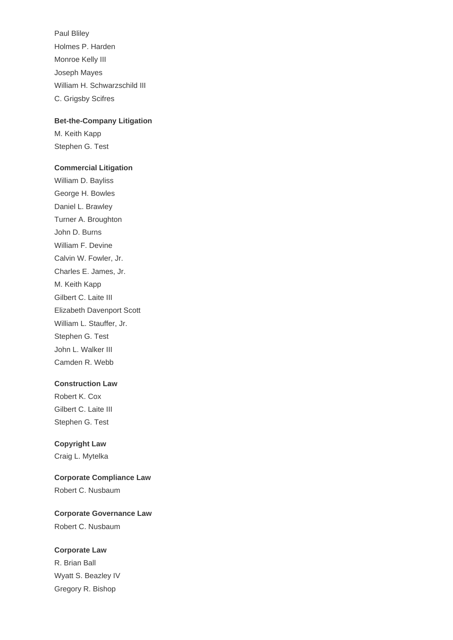Paul Bliley Holmes P. Harden Monroe Kelly III Joseph Mayes William H. Schwarzschild III C. Grigsby Scifres

#### **Bet-the-Company Litigation**

M. Keith Kapp Stephen G. Test

#### **Commercial Litigation**

William D. Bayliss George H. Bowles Daniel L. Brawley Turner A. Broughton John D. Burns William F. Devine Calvin W. Fowler, Jr. Charles E. James, Jr. M. Keith Kapp Gilbert C. Laite III Elizabeth Davenport Scott William L. Stauffer, Jr. Stephen G. Test John L. Walker III Camden R. Webb

#### **Construction Law**

Robert K. Cox Gilbert C. Laite III Stephen G. Test

#### **Copyright Law**

Craig L. Mytelka

## **Corporate Compliance Law** Robert C. Nusbaum

# **Corporate Governance Law** Robert C. Nusbaum

#### **Corporate Law**

R. Brian Ball Wyatt S. Beazley IV Gregory R. Bishop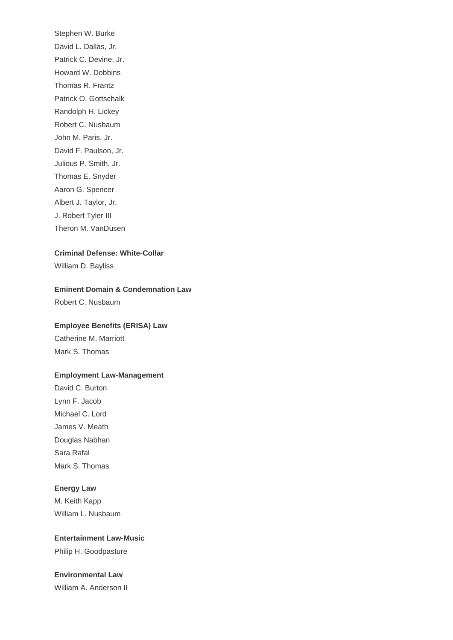Stephen W. Burke David L. Dallas, Jr. Patrick C. Devine, Jr. Howard W. Dobbins Thomas R. Frantz Patrick O. Gottschalk Randolph H. Lickey Robert C. Nusbaum John M. Paris, Jr. David F. Paulson, Jr. Julious P. Smith, Jr. Thomas E. Snyder Aaron G. Spencer Albert J. Taylor, Jr. J. Robert Tyler III Theron M. VanDusen

#### **Criminal Defense: White-Collar**

William D. Bayliss

#### **Eminent Domain & Condemnation Law**

Robert C. Nusbaum

#### **Employee Benefits (ERISA) Law**

Catherine M. Marriott Mark S. Thomas

#### **Employment Law-Management**

David C. Burton Lynn F. Jacob Michael C. Lord James V. Meath Douglas Nabhan Sara Rafal Mark S. Thomas

#### **Energy Law**

M. Keith Kapp William L. Nusbaum

#### **Entertainment Law-Music**

Philip H. Goodpasture

#### **Environmental Law**

William A. Anderson II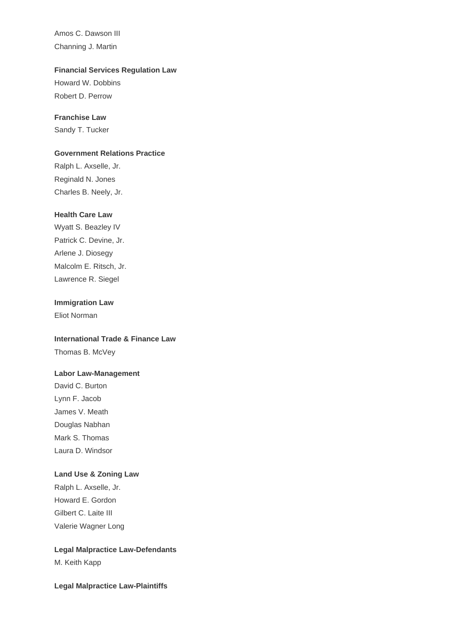Amos C. Dawson III Channing J. Martin

#### **Financial Services Regulation Law**

Howard W. Dobbins Robert D. Perrow

#### **Franchise Law**

Sandy T. Tucker

#### **Government Relations Practice**

Ralph L. Axselle, Jr. Reginald N. Jones Charles B. Neely, Jr.

#### **Health Care Law**

Wyatt S. Beazley IV Patrick C. Devine, Jr. Arlene J. Diosegy Malcolm E. Ritsch, Jr. Lawrence R. Siegel

#### **Immigration Law**

Eliot Norman

## **International Trade & Finance Law**

Thomas B. McVey

#### **Labor Law-Management**

David C. Burton Lynn F. Jacob James V. Meath Douglas Nabhan Mark S. Thomas Laura D. Windsor

#### **Land Use & Zoning Law**

Ralph L. Axselle, Jr. Howard E. Gordon Gilbert C. Laite III Valerie Wagner Long

# **Legal Malpractice Law-Defendants** M. Keith Kapp

#### **Legal Malpractice Law-Plaintiffs**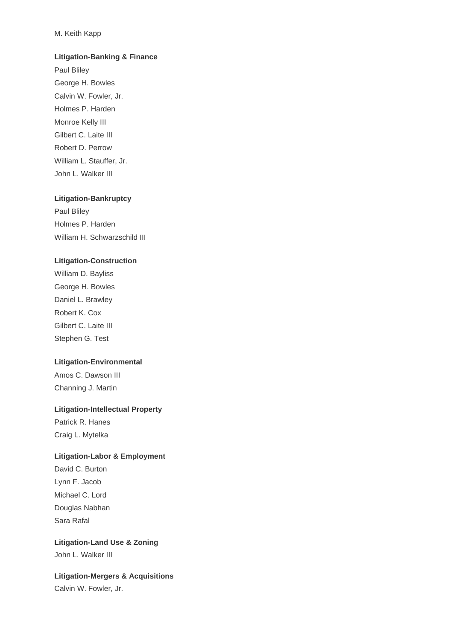#### M. Keith Kapp

#### **Litigation-Banking & Finance**

Paul Bliley George H. Bowles Calvin W. Fowler, Jr. Holmes P. Harden Monroe Kelly III Gilbert C. Laite III Robert D. Perrow William L. Stauffer, Jr. John L. Walker III

#### **Litigation-Bankruptcy**

Paul Bliley Holmes P. Harden William H. Schwarzschild III

#### **Litigation-Construction**

William D. Bayliss George H. Bowles Daniel L. Brawley Robert K. Cox Gilbert C. Laite III Stephen G. Test

#### **Litigation-Environmental**

Amos C. Dawson III Channing J. Martin

#### **Litigation-Intellectual Property**

Patrick R. Hanes Craig L. Mytelka

#### **Litigation-Labor & Employment**

David C. Burton Lynn F. Jacob Michael C. Lord Douglas Nabhan Sara Rafal

#### **Litigation-Land Use & Zoning** John L. Walker III

**Litigation-Mergers & Acquisitions** Calvin W. Fowler, Jr.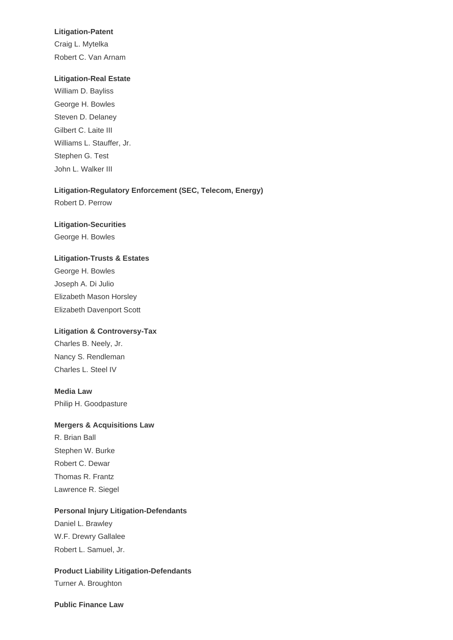#### **Litigation-Patent**

Craig L. Mytelka Robert C. Van Arnam

#### **Litigation-Real Estate**

William D. Bayliss George H. Bowles Steven D. Delaney Gilbert C. Laite III Williams L. Stauffer, Jr. Stephen G. Test John L. Walker III

## **Litigation-Regulatory Enforcement (SEC, Telecom, Energy)**

Robert D. Perrow

#### **Litigation-Securities**

George H. Bowles

#### **Litigation-Trusts & Estates**

George H. Bowles Joseph A. Di Julio Elizabeth Mason Horsley Elizabeth Davenport Scott

#### **Litigation & Controversy-Tax**

Charles B. Neely, Jr. Nancy S. Rendleman Charles L. Steel IV

#### **Media Law**

Philip H. Goodpasture

#### **Mergers & Acquisitions Law**

R. Brian Ball Stephen W. Burke Robert C. Dewar Thomas R. Frantz Lawrence R. Siegel

#### **Personal Injury Litigation-Defendants**

Daniel L. Brawley W.F. Drewry Gallalee Robert L. Samuel, Jr.

# **Product Liability Litigation-Defendants**

Turner A. Broughton

#### **Public Finance Law**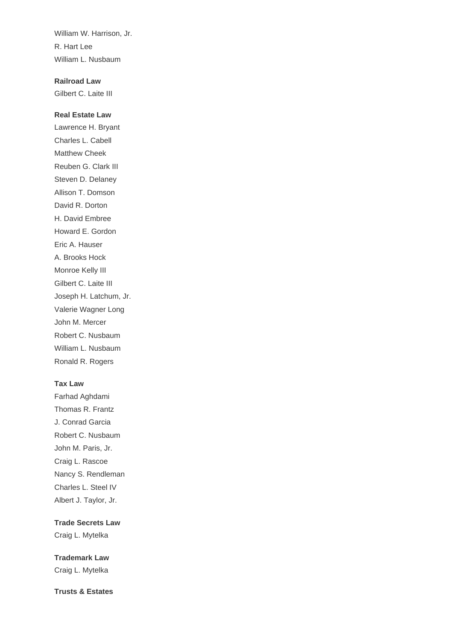William W. Harrison, Jr. R. Hart Lee William L. Nusbaum

**Railroad Law** Gilbert C. Laite III

#### **Real Estate Law**

Lawrence H. Bryant Charles L. Cabell Matthew Cheek Reuben G. Clark III Steven D. Delaney Allison T. Domson David R. Dorton H. David Embree Howard E. Gordon Eric A. Hauser A. Brooks Hock Monroe Kelly III Gilbert C. Laite III Joseph H. Latchum, Jr. Valerie Wagner Long John M. Mercer Robert C. Nusbaum William L. Nusbaum Ronald R. Rogers

#### **Tax Law**

Farhad Aghdami Thomas R. Frantz J. Conrad Garcia Robert C. Nusbaum John M. Paris, Jr. Craig L. Rascoe Nancy S. Rendleman Charles L. Steel IV Albert J. Taylor, Jr.

#### **Trade Secrets Law**

Craig L. Mytelka

**Trademark Law** Craig L. Mytelka

**Trusts & Estates**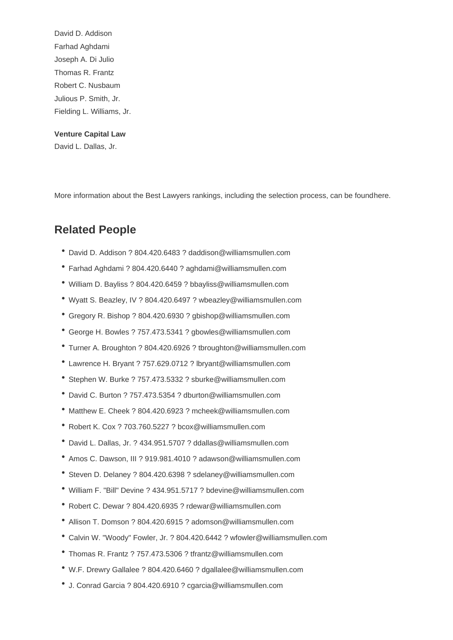Farhad Aghdami Joseph A. Di Julio Thomas R. Frantz Robert C. Nusbaum Julious P. Smith, Jr. Fielding L. Williams, Jr.

Venture Capital Law David L. Dallas, Jr.

More information about the Best Lawyers rankings, including the selection process, can be found here.

# Related People

- David D. Addison ? 804.420.6483 ? daddison@williamsmullen.com
- Farhad Aghdami ? 804.420.6440 ? aghdami@williamsmullen.com
- William D. Bayliss ? 804.420.6459 ? bbayliss@williamsmullen.com
- Wyatt S. Beazley, IV ? 804.420.6497 ? wbeazley@williamsmullen.com
- Gregory R. Bishop ? 804.420.6930 ? gbishop@williamsmullen.com
- George H. Bowles ? 757.473.5341 ? gbowles@williamsmullen.com
- Turner A. Broughton ? 804.420.6926 ? tbroughton@williamsmullen.com
- Lawrence H. Bryant ? 757.629.0712 ? lbryant@williamsmullen.com
- Stephen W. Burke ? 757.473.5332 ? sburke@williamsmullen.com
- David C. Burton ? 757.473.5354 ? dburton@williamsmullen.com
- Matthew E. Cheek ? 804.420.6923 ? mcheek@williamsmullen.com
- Robert K. Cox ? 703.760.5227 ? bcox@williamsmullen.com
- David L. Dallas, Jr. ? 434.951.5707 ? ddallas@williamsmullen.com
- Amos C. Dawson, III ? 919.981.4010 ? adawson@williamsmullen.com
- Steven D. Delaney ? 804.420.6398 ? sdelaney@williamsmullen.com
- William F. "Bill" Devine ? 434.951.5717 ? bdevine@williamsmullen.com
- Robert C. Dewar ? 804.420.6935 ? rdewar@williamsmullen.com
- Allison T. Domson ? 804.420.6915 ? adomson@williamsmullen.com
- Calvin W. "Woody" Fowler, Jr. ? 804.420.6442 ? wfowler@williamsmullen.com
- Thomas R. Frantz ? 757.473.5306 ? tfrantz@williamsmullen.com
- W.F. Drewry Gallalee ? 804.420.6460 ? dgallalee@williamsmullen.com
- J. Conrad Garcia ? 804.420.6910 ? cgarcia@williamsmullen.com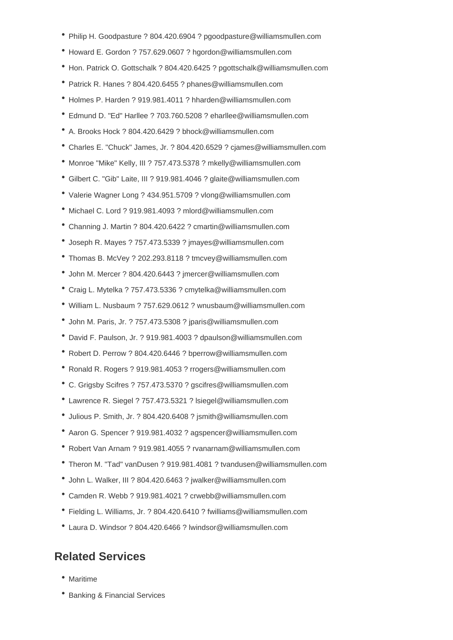- Philip H. Goodpasture ? 804.420.6904 ? pgoodpasture@williamsmullen.com
- Howard E. Gordon ? 757.629.0607 ? hgordon@williamsmullen.com
- Hon. Patrick O. Gottschalk ? 804.420.6425 ? pgottschalk@williamsmullen.com
- Patrick R. Hanes ? 804.420.6455 ? phanes@williamsmullen.com
- Holmes P. Harden ? 919.981.4011 ? hharden@williamsmullen.com
- Edmund D. "Ed" Harllee ? 703.760.5208 ? eharllee@williamsmullen.com
- A. Brooks Hock ? 804.420.6429 ? bhock@williamsmullen.com
- Charles E. "Chuck" James, Jr. ? 804.420.6529 ? cjames@williamsmullen.com
- Monroe "Mike" Kelly, III ? 757.473.5378 ? mkelly@williamsmullen.com
- Gilbert C. "Gib" Laite, III ? 919.981.4046 ? glaite@williamsmullen.com
- Valerie Wagner Long ? 434.951.5709 ? vlong@williamsmullen.com
- Michael C. Lord ? 919.981.4093 ? mlord@williamsmullen.com
- Channing J. Martin ? 804.420.6422 ? cmartin@williamsmullen.com
- Joseph R. Mayes ? 757.473.5339 ? jmayes@williamsmullen.com
- Thomas B. McVey ? 202.293.8118 ? tmcvey@williamsmullen.com
- John M. Mercer ? 804.420.6443 ? jmercer@williamsmullen.com
- Craig L. Mytelka ? 757.473.5336 ? cmytelka@williamsmullen.com
- William L. Nusbaum ? 757.629.0612 ? wnusbaum@williamsmullen.com
- John M. Paris, Jr. ? 757.473.5308 ? jparis@williamsmullen.com
- David F. Paulson, Jr. ? 919.981.4003 ? dpaulson@williamsmullen.com
- Robert D. Perrow ? 804.420.6446 ? bperrow@williamsmullen.com
- Ronald R. Rogers ? 919.981.4053 ? rrogers@williamsmullen.com
- C. Grigsby Scifres ? 757.473.5370 ? gscifres@williamsmullen.com
- Lawrence R. Siegel ? 757.473.5321 ? lsiegel@williamsmullen.com
- Julious P. Smith, Jr. ? 804.420.6408 ? jsmith@williamsmullen.com
- Aaron G. Spencer ? 919.981.4032 ? agspencer@williamsmullen.com
- Robert Van Arnam ? 919.981.4055 ? rvanarnam@williamsmullen.com
- Theron M. "Tad" vanDusen ? 919.981.4081 ? tvandusen@williamsmullen.com
- John L. Walker, III ? 804.420.6463 ? jwalker@williamsmullen.com
- Camden R. Webb ? 919.981.4021 ? crwebb@williamsmullen.com
- Fielding L. Williams, Jr. ? 804.420.6410 ? fwilliams@williamsmullen.com
- Laura D. Windsor ? 804.420.6466 ? lwindsor@williamsmullen.com

# **Related Services**

- Maritime
- Banking & Financial Services